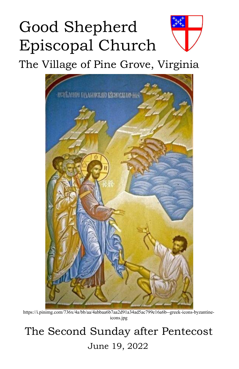# Good Shepherd Episcopal Church

The Village of Pine Grove, Virginia



https://i.pinimg.com/736x/4a/bb/aa/4abbaa6b7aa2d91a34ad5ac799e16a6b--greek-icons-byzantineicons.jpg

## The Second Sunday after Pentecost June 19, 2022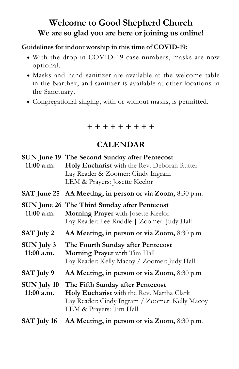### **Welcome to Good Shepherd Church We are so glad you are here or joining us online!**

#### **Guidelines for indoor worship in this time of COVID-19:**

- With the drop in COVID-19 case numbers, masks are now optional.
- Masks and hand sanitizer are available at the welcome table in the Narthex, and sanitizer is available at other locations in the Sanctuary.
- Congregational singing, with or without masks, is permitted.

| + + + + + + + + |  |  |
|-----------------|--|--|

#### **CALENDAR**

|                                    | SUN June 19 The Second Sunday after Pentecost<br>11:00 a.m. Holy Eucharist with the Rev. Deborah Rutter<br>Lay Reader & Zoomer: Cindy Ingram<br>LEM & Prayers: Josette Keelor |
|------------------------------------|-------------------------------------------------------------------------------------------------------------------------------------------------------------------------------|
|                                    | SAT June 25 AA Meeting, in person or via Zoom, 8:30 p.m.                                                                                                                      |
| $11:00$ a.m.                       | SUN June 26 The Third Sunday after Pentecost<br>Morning Prayer with Josette Keelor<br>Lay Reader: Lee Ruddle   Zoomer: Judy Hall                                              |
| SAT July 2                         | AA Meeting, in person or via Zoom, 8:30 p.m.                                                                                                                                  |
| $SUN$ July 3<br>$11:00$ a.m.       | The Fourth Sunday after Pentecost<br>Morning Prayer with Tim Hall<br>Lay Reader: Kelly Macoy / Zoomer: Judy Hall                                                              |
| SAT July 9                         | AA Meeting, in person or via Zoom, 8:30 p.m.                                                                                                                                  |
| <b>SUN July 10</b><br>$11:00$ a.m. | The Fifth Sunday after Pentecost<br>Holy Eucharist with the Rev. Martha Clark<br>Lay Reader: Cindy Ingram / Zoomer: Kelly Macoy<br>LEM & Prayers: Tim Hall                    |
| SAT July 16                        | AA Meeting, in person or via Zoom, 8:30 p.m.                                                                                                                                  |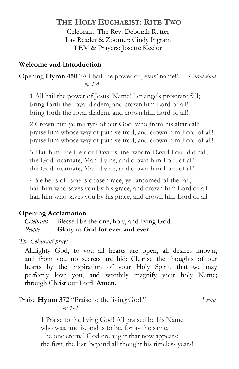#### **THE HOLY EUCHARIST: RITE TWO**

Celebrant: The Rev. Deborah Rutter Lay Reader & Zoomer: Cindy Ingram LEM & Prayers: Josette Keelor

#### **Welcome and Introduction**

Opening **Hymn 450** "All hail the power of Jesus' name!" *Coronation vv 1-4*

1 All hail the power of Jesus' Name! Let angels prostrate fall; bring forth the royal diadem, and crown him Lord of all! bring forth the royal diadem, and crown him Lord of all!

2 Crown him ye martyrs of our God, who from his altar call: praise him whose way of pain ye trod, and crown him Lord of all! praise him whose way of pain ye trod, and crown him Lord of all!

3 Hail him, the Heir of David's line, whom David Lord did call, the God incarnate, Man divine, and crown him Lord of all! the God incarnate, Man divine, and crown him Lord of all!

4 Ye heirs of Israel's chosen race, ye ransomed of the fall, hail him who saves you by his grace, and crown him Lord of all! hail him who saves you by his grace, and crown him Lord of all!

#### **Opening Acclamation**

*Celebrant* Blessed be the one, holy, and living God. *People* **Glory to God for ever and ever**.

*The Celebrant prays*

Almighty God, to you all hearts are open, all desires known, and from you no secrets are hid: Cleanse the thoughts of our hearts by the inspiration of your Holy Spirit, that we may perfectly love you, and worthily magnify your holy Name; through Christ our Lord. **Amen.**

#### Praise **Hymn 372** "Praise to the living God!" *Leoni vv 1-3*

1 Praise to the living God! All praised be his Name who was, and is, and is to be, for ay the same. The one eternal God ere aught that now appears: the first, the last, beyond all thought his timeless years!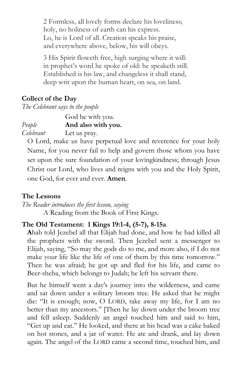2 Formless, all lovely forms declare his loveliness; holy, no holiness of earth can his express. Lo, he is Lord of all. Creation speaks his praise, and everywhere above, below, his will obeys.

3 His Spirit floweth free, high surging where it will: in prophet's word he spoke of old: he speaketh still. Established is his law, and changeless it shall stand, deep writ upon the human heart, on sea, on land.

#### **Collect of the Day**

*The Celebrant says to thepeople*

|           | God be with you.   |  |
|-----------|--------------------|--|
| People    | And also with you. |  |
| Celebrant | Let us pray.       |  |

O Lord, make us have perpetual love and reverence foryour holy Name, for you never fail to help and govern those whom you have set upon the sure foundation of your lovingkindness; through Jesus Christ our Lord, who lives and reignswith you and the Holy Spirit, one God, for ever and ever. **Amen***.*

#### **The Lessons**

*The Reader introduces the first lesson, saying* A Reading from the Book of First Kings.

#### **The Old Testament: 1 Kings 19:1-4, (5-7), 8-15a**

**A**hab told Jezebel all that Elijah had done, and how he had killed all the prophets with the sword. Then Jezebel sent a messenger to Elijah, saying, "So maythe gods do to me, and more also, if I do not make your life like the life of one of them by this time tomorrow." Then he was afraid; he got up and fled for his life, and came to Beer-sheba, which belongs to Judah; he left his servant there.

But he himself went a day's journey into the wilderness, and came and sat down under a solitary broom tree. He asked that he might die: "It is enough; now, O LORD, take away my life, for I am no better than my ancestors." [Then he lay down under the broom tree and fell asleep. Suddenly an angel touched him and said to him,"Get up and eat." He looked, and there at his head was <sup>a</sup> cake baked on hot stones, and a jar of water. He ate and drank, and lay down again. The angel of the LORD came a second time, touched him, and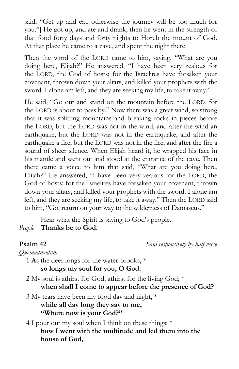said, "Get up and eat, otherwise the journey will be too much for you."] He got up, and ate and drank; then he went in the strength of that food forty days and forty nights to Horeb the mount of God. At that place he came to a cave, and spent the night there.

Then the word of the LORD came to him, saying, "What are you doing here, Elijah?" He answered, "I have been very zealous for the LORD, the God of hosts; for the Israelites have forsaken your covenant, thrown down your altars, and killed your prophets with the sword. I alone am left, and they are seeking my life, to take it away."

He said, "Go out and stand on the mountain before the LORD, for the LORD is about to pass by." Now there was a great wind, so strong that it was splitting mountains and breaking rocks in pieces before the LORD, but the LORD was not in the wind; and after the wind an earthquake, but the LORD was not in the earthquake; and after the earthquake a fire, but the LORD was not in the fire; and after the fire a sound of sheer silence. When Elijah heard it, he wrapped his face in his mantle and went out and stood at the entrance of the cave. Then there came a voice to him that said, "What are you doing here, Elijah?" He answered, "I have been very zealous for the LORD, the God of hosts; for the Israelites have forsaken your covenant, thrown down your altars, and killed your prophets with the sword. I alone am left, and they are seeking my life, to take it away." Then the LORD said to him, "Go, return on your way to the wilderness of Damascus."

Hear what the Spirit is saying to God's people. *People* **Thanks be to God.**

**Psalm 42** *Said responsively by half verse*

*Quemadmodum*

1 **A**s the deer longs for the water-brooks, \* **so longs my soul for you, O God.**

2 My soul is athirst for God, athirst for the living God; \* **when shall I come to appear before the presence of God?**

3 My tears have been my food dayand night, \* **while all day long they say to me,**

**"Where now is your God?"**

4 I pour out my soul when I think on these things: \* **how I went with themultitude and led them into the house of God,**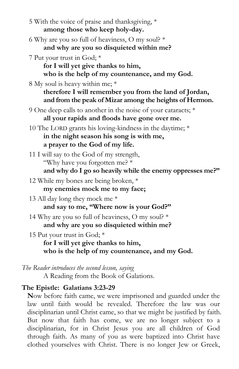| 5 With the voice of praise and thanksgiving, *<br>among those who keep holy-day.                                                                     |
|------------------------------------------------------------------------------------------------------------------------------------------------------|
| 6 Why are you so full of heaviness, O my soul? *<br>and why are you so disquieted within me?                                                         |
| 7 Put your trust in God; *<br>for I will yet give thanks to him,<br>who is the help of my countenance, and my God.                                   |
| 8 My soul is heavy within me; *<br>therefore I will remember you from the land of Jordan,<br>and from the peak of Mizar among the heights of Hermon. |
| 9 One deep calls to another in the noise of your cataracts; *<br>all your rapids and floods have gone over me.                                       |
| 10 The LORD grants his loving-kindness in the daytime; *<br>in the night season his song is with me,<br>a prayer to the God of my life.              |
| 11 I will say to the God of my strength,<br>"Why have you forgotten me? *<br>and why do I go so heavily while the enemy oppresses me?"               |
| 12 While my bones are being broken, *<br>my enemies mock me to my face;                                                                              |
| 13 All day long they mock me *<br>and say to me, "Where now is your God?"                                                                            |
| 14 Why are you so full of heaviness, O my soul? $*$<br>and why are you so disquieted within me?                                                      |
| 15 Put your trust in God; *<br>for I will yet give thanks to him,<br>who is the help of my countenance, and my God.                                  |
| $\Gamma$ he $D$ eadan introduces the second lessen saning                                                                                            |

*The Reader introduces the second lesson, saying* A Reading from the Book of Galations.

#### **The Epistle: Galatians 3:23-29**

**N**ow before faith came, we were imprisoned and guarded under the law until faith would be revealed. Therefore the law was our disciplinarian until Christ came, so that we might be justified by faith. But now that faith has come, we are no longer subject to a disciplinarian, for in Christ Jesus you are all children of God through faith. As many of you as were baptized into Christ have clothed yourselves with Christ. There is no longer Jew or Greek,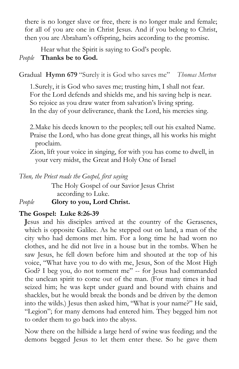there is no longer slave or free, there is no longer male and female; for all of you are one in Christ Jesus. And if you belong to Christ, then you are Abraham's offspring, heirs according to the promise.

Hear what the Spirit is saying to God's people.

#### *People* **Thanks be to God.**

Gradual **Hymn 679** "Surely it is God who saves me" *Thomas Merton*

1.Surely, it is God who saves me; trusting him, I shall not fear. For the Lord defends and shields me, and his saving help is near. So rejoice as you draw water from salvation's living spring. In the day of your deliverance, thank the Lord, his mercies sing.

2.Make his deeds known to the peoples; tell out his exalted Name. Praise the Lord, who has done great things, all his works his might proclaim.

Zion, lift your voice in singing, for with you has come to dwell, in your very midst, the Great and Holy One of Israel

*Then, the Priest reads the Gospel, first saying*

The Holy Gospel of our Savior Jesus Christ according to Luke.

*People* **Glory to you, Lord Christ.**

#### **The Gospel: Luke 8:26-39**

**J**esus and his disciples arrived at the country of the Gerasenes, which is opposite Galilee. As he stepped out on land, a man of the city who had demons met him. For a long time he had worn no clothes, and he did not live in a house but in the tombs. When he saw Jesus, he fell down before him and shouted at the top of his voice, "What have you to do with me, Jesus, Son of the Most High God? I beg you, do not torment me" -- for Jesus had commanded the unclean spirit to come out of the man. (For many times it had seized him; he was kept under guard and bound with chains and shackles, but he would break the bonds and be driven by the demon into the wilds.) Jesus then asked him, "What is your name?" He said, "Legion"; for many demons had entered him. They begged him not to order them to go back into the abyss.

Now there on the hillside a large herd of swine was feeding; and the demons begged Jesus to let them enter these. So he gave them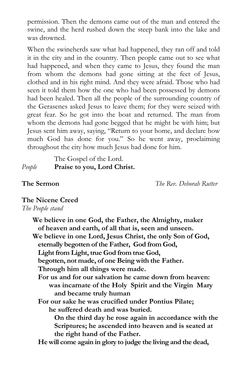permission. Then the demons came out of the man and entered the swine, and the herd rushed down the steep bank into the lake and was drowned.

When the swineherds saw what had happened, they ran off and told it in the city and in the country. Then people came out to see what had happened, and when they came to Jesus, they found the man from whom the demons had gone sitting at the feet of Jesus, clothed and in his right mind. And they were afraid. Those who had seen it told them how the one who had been possessed by demons had been healed. Then all the people of the surrounding country of the Gerasenes asked Jesus to leave them; for they were seized with great fear. So he got into the boat and returned. The man from whom the demons had gone begged that he might be with him; but Jesus sent him away, saying, "Return to your home, and declare how much God has done for you." So he went away, proclaiming throughout the city how much Jesus had done for him.

#### The Gospel of the Lord. *People* **Praise to you, Lord Christ.**

**The Sermon** *The Rev. Deborah Rutter*

#### **The Nicene Creed**

*The People stand*

**We believe in one God, the Father, the Almighty, maker of heaven and earth, of all that is, seen and unseen. We believe in one Lord, Jesus Christ, the only Son of God, eternally begotten of the Father,God from God, Light from Light, true God from true God, begotten, not made, of one Being with the Father. Through him all things were made. For us and for our salvation he came down from heaven: was incarnate of the Holy Spirit and theVirgin Mary and became truly human For our sake he was crucified under Pontius Pilate; he suffered death and was buried. On thethird day he rose again in accordance with the Scriptures; he ascended into heaven and is seated at the right hand of the Father. He will come again in glory to judge the living and the dead,**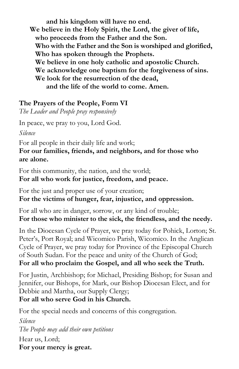**and his kingdom will have no end. We believe in theHoly Spirit, the Lord, the giver of life, who proceeds from the Father and the Son. Who with the Father and the Son is worshiped and glorified, Who has spoken through theProphets. We believe in one holy catholic and apostolic Church. We acknowledge one baptism for the forgiveness of sins. We look for the resurrection of the dead, and thelife of the world to come. Amen.**

#### **The Prayers of the People, Form VI**

*The Leader and People pray responsively*

In peace, we pray to you, Lord God.

*Silence*

For all people in their daily life and work;

**For our families, friends, and neighbors, and for those who are alone.**

For this community, the nation, and the world; **For all who work for justice, freedom, and peace.**

For the just and proper use of your creation; **For the victims of hunger, fear, injustice, and oppression.**

For all who are in danger, sorrow, or any kind of trouble; **For those who minister to the sick, the friendless, and the needy.**

In the Diocesan Cycle of Prayer, we pray today for Pohick, Lorton; St. Peter's, Port Royal; and Wicomico Parish, Wicomico. In the Anglican Cycle of Prayer, we pray today for Province of the Episcopal Church of South Sudan. For the peace and unity of the Church of God; **For all who proclaim the Gospel, and all who seek the Truth.**

For Justin, Archbishop; for Michael, Presiding Bishop; for Susan and Jennifer, our Bishops, for Mark, our Bishop Diocesan Elect, and for Debbie and Martha, our Supply Clergy; **For all who serve God in hisChurch.**

For the special needs and concerns of this congregation.

*Silence The People may add their own petitions* Hear us, Lord; **For your mercy is great.**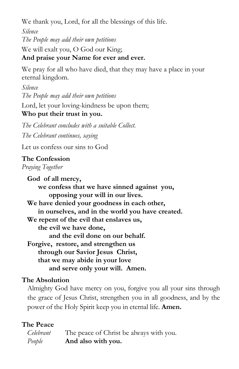We thank you, Lord, for all the blessings of this life.

*Silence The People may add their own petitions*

We will exalt you, O God our King; **And praise your Name for ever and ever.**

We pray for all who have died, that they may have a place in your eternal kingdom.

*Silence The People may add their own petitions* Lord, let your loving-kindness be upon them; **Who put their trust in you.**

*The Celebrant concludes with a suitable Collect. The Celebrant continues, saying*

Let us confess our sins to God

#### **The Confession**

*Praying Together*

**God of all mercy, we confess that we have sinned against you, opposing your will in our lives. We have denied your goodness in each other, in ourselves, and in theworld you have created. We repentof the evil that enslaves us, the evil we have done,** and the evil done on our behalf. **Forgive, restore, and strengthen us through our Savior Jesus Christ, that we may abide in your love and serve only your will. Amen.**

#### **The Absolution**

Almighty God have mercy on you, forgive you all your sins through the grace of Jesus Christ, strengthen you in all goodness, and by the power of the Holy Spirit keep you in eternal life. **Amen.**

#### **The Peace**

| Celebrant | The peace of Christ be always with you. |
|-----------|-----------------------------------------|
| People    | And also with you.                      |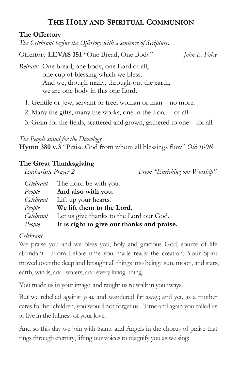#### **THE HOLY AND SPIRITUAL COMMUNION**

#### **The Offertory**

*The Celebrant begins the Offertory with a sentence of Scripture.* 

Offertory **LEVAS 151** "One Bread, One Body" *John B. Foley*

*Refrain:* One bread, one body, one Lord of all, one cup of blessing which we bless. And we, though many, through-out the earth, we are one body in this one Lord.

- 1. Gentile or Jew, servant or free, woman or man no more.
- 2. Many the gifts, many the works, one in the Lord of all.
- 3. Grain for the fields, scattered and grown, gathered to one for all.

*The People stand for the Doxology*

**Hymn 380 v.3** "Praise God from whom all blessings flow" *Old 100th*

#### **The Great Thanksgiving**

*Eucharistic Prayer 2 From "Enriching our Worship"*

|        | <i>Celebrant</i> The Lord be with you.                   |
|--------|----------------------------------------------------------|
|        | <i>People</i> <b>And also with you.</b>                  |
|        | <i>Celebrant</i> Lift up your hearts.                    |
|        | <i>People</i> We lift them to the Lord.                  |
|        | <i>Celebrant</i> Let us give thanks to the Lord our God. |
| People | It is right to give our thanks and praise.               |

#### *Celebrant*

We praise you and we bless you, holy and gracious God, source of life abundant. From before time you made ready the creation. Your Spirit moved over the deep and brought all things into being: sun, moon, and stars; earth, winds, and waters; and every living thing.

You made us in your image, and taught us to walk in your ways.

But we rebelled against you, and wandered far away; and yet, as a mother cares for her children, you would not forget us. Time and again you called us to live in the fullness of your love.

And so this day we join with Saints and Angels in the chorus of praise that rings through eternity, lifting our voices to magnify you as we sing: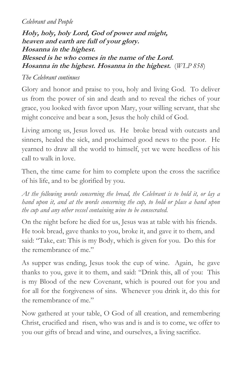#### *Celebrant and People*

**Holy, holy, holy Lord, God of power and might,** heaven and earth are full of your glory. **Hosanna** in the highest. **Blessed is he who comes in the name of the Lord. Hosanna** in the highest. Hosanna in the highest. (WLP 858)

#### *The Celebrant continues*

Glory and honor and praise to you, holy and living God. To deliver us from the power of sin and death and to reveal the riches of your grace, you looked with favor upon Mary, your willing servant, that she might conceive and bear a son, Jesus the holy child of God.

Living among us, Jesus loved us. He broke bread with outcasts and sinners, healed the sick, and proclaimed good news to the poor. He yearned to draw all the world to himself, yet we were heedless of his call to walk in love.

Then, the time came for him to complete upon the cross the sacrifice of his life, and to be glorified by you.

*At the following words concerning the bread, the Celebrant is to hold it, orlay a hand upon it, and at the words concerning the cup, to hold or place a hand upon the cup and any other vessel containing wine to be consecrated.*

On the night before he died for us, Jesus was at table with his friends. He took bread, gave thanks to you, broke it, and gave it to them, and said: "Take, eat: This is my Body, which is given for you. Do this for the remembrance of me."

As supper was ending, Jesus took the cup of wine. Again, he gave thanks to you, gave it to them, and said: "Drink this, all of you: This is my Blood of the new Covenant, which is poured out foryou and for all for the forgiveness of sins.Whenever you drink it, do this for the remembrance of me."

Now gathered at your table, O God of all creation, and remembering Christ, crucified and risen, who was and is and is to come, we offer to you our gifts of bread and wine, and ourselves, a living sacrifice.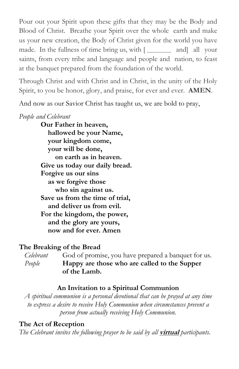Pour out your Spirit upon these gifts that they may be the Body and Blood of Christ. Breathe your Spirit over the whole earth and make us your new creation, the Body of Christ given for the world you have made. In the fullness of time bring us, with  $\lceil \frac{1}{\lceil \frac{1}{\lceil \frac{n}{\rceil}} \rceil}$  and all your saints, from every tribe and language and people and nation, to feast at the banquet prepared from the foundation of the world.

Through Christ and with Christ and in Christ, in the unity of the Holy Spirit, to you be honor, glory, and praise, for ever and ever. **AMEN**.

And now as our Savior Christ has taught us, we are bold to pray,

#### *People and Celebrant*

**Our Father in heaven, hallowed be your Name, your kingdom come, your will be done, on earth as in heaven. Give us today our daily bread. Forgive us our sins as we forgive those who sin against us. Save us from the time of trial, and deliver us from evil. For the kingdom, the power, and theglory are yours, now and for ever. Amen**

#### **The Breaking of the Bread**

*Celebrant* God of promise, you have prepared a banquet for us. *People* **Happy are those who are called to the Supper of the Lamb.**

#### **An Invitation to a Spiritual Communion**

*A spiritual communion is a personal devotional that can be prayed at any time to express a desire to receive Holy Communion when circumstances prevent a person from actually receivingHoly Communion.*

#### **The Act of Reception**

*The Celebrant invites the following prayer to be said by all* **virtual** *participants.*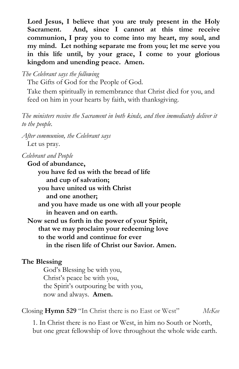**Lord Jesus, I believe that you are truly present in the Holy Sacrament. And, since I cannot at this time receive communion, I pray you to come into my heart, my soul, and my mind. Let nothing separate me from you; let me serve you in this life until, by your grace, I come to your glorious kingdom and unending peace. Amen.**

*The Celebrant says the following*

The Gifts of God for the People of God.

Take them spiritually in remembrance that Christ died for you, and feed on him in your hearts by faith, with thanksgiving.

*The ministers receive the Sacrament in both kinds, and then immediately deliver it to the people.* 

*After communion, the Celebrant says* Let us pray.

*Celebrant and People*

**God of abundance, you have fed us with the bread of life and cup of salvation; you have united us with Christ and one another; and you have made us one with all your people in heaven and on earth. Now send us forth in thepower of your Spirit, that we may proclaim your redeeming love to the world and continue for ever**  $i$ **n** the risen life of Christ our Savior. Amen.

#### **The Blessing**

God's Blessing be with you, Christ's peace be with you, the Spirit's outpouring be with you, now and always. **Amen.**

Closing **Hymn 529**"In Christ there is no East or West" *McKee*

1. In Christ there is no East or West,in him no South or North, but one great fellowship of love throughout the whole wide earth.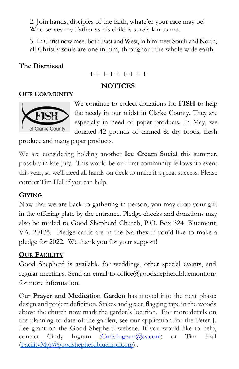2. Join hands, disciples of the faith, whate'er your race may be! Who serves my Father as his child is surely kin to me.

3. In Christ now meet both East and West, in him meet South and North, all Christly souls are one in him, throughout the whole wide earth.

#### **The Dismissal**

$$
+ + + + + + + + +
$$

#### **NOTICES**

#### **OUR COMMUNITY**



We continue to collect donations for **FISH** to help the needy in our midst in Clarke County. They are especially in need of paper products. In May, we donated 42 pounds of canned & dry foods, fresh

produce and many paper products.

We are considering holding another **Ice Cream Social** this summer, possibly in late July. This would be our first community fellowship event this year, so we'll need all hands on deck to make it a great success. Please contact Tim Hall if you can help.

#### **GIVING**

Now that we are back to gathering in person, you may drop your gift in the offering plate by the entrance. Pledge checks and donations may also be mailed to Good Shepherd Church, P.O. Box 324, Bluemont, VA. 20135. Pledge cards are in the Narthex if you'd like to make a pledge for 2022. We thank you for your support!

#### **OUR FACILITY**

Good Shepherd is available for weddings, other special events, and regular meetings. Send an email to [office@goodshepherdbluemont.org](mailto:office@goodshepherdbluemont.org) for more information.

Our **Prayer and Meditation Garden** has moved into the next phase: design and project definition. Stakes and green flagging tape in the woods above the church now mark the garden's location. For more details on the planning to date of the garden, see our application for the Peter J. Lee grant on the Good Shepherd website. If you would like to help, contact Cindy Ingram [\(CndyIngram@cs.com](mailto:CndyIngram@cs.com)) or Tim Hall ([FacilityMgr@goodshepherdbluemont.org\)](mailto:FacilityMgr@goodshepherdbluemont.org) .